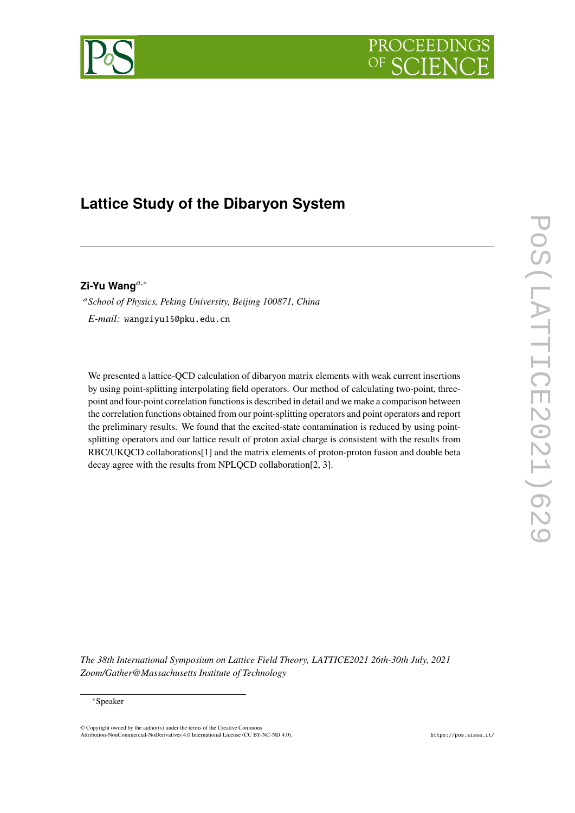# PROCEEDIN



# **Lattice Study of the Dibaryon System**

**Zi-Yu Wang***,*<sup>∗</sup>

*School of Physics, Peking University, Beijing 100871, China E-mail:* [wangziyu15@pku.edu.cn](mailto:wangziyu15@pku.edu.cn)

We presented a lattice-QCD calculation of dibaryon matrix elements with weak current insertions by using point-splitting interpolating field operators. Our method of calculating two-point, threepoint and four-point correlation functions is described in detail and we make a comparison between the correlation functions obtained from our point-splitting operators and point operators and report the preliminary results. We found that the excited-state contamination is reduced by using pointsplitting operators and our lattice result of proton axial charge is consistent with the results from RBC/UKQCD collaborations[\[1](#page-7-0)] and the matrix elements of proton-proton fusion and double beta decay agree with the results from NPLQCD collaboration[\[2](#page-7-1), [3](#page-7-2)].

*The 38th International Symposium on Lattice Field Theory, LATTICE2021 26th-30th July, 2021 Zoom/Gather@Massachusetts Institute of Technology*

© Copyright owned by the author(s) under the terms of the Creative Common Attribution-NonCommercial-NoDerivatives 4.0 International License (CC BY-NC-ND 4.0). <https://pos.sissa.it/>

<sup>∗</sup>Speaker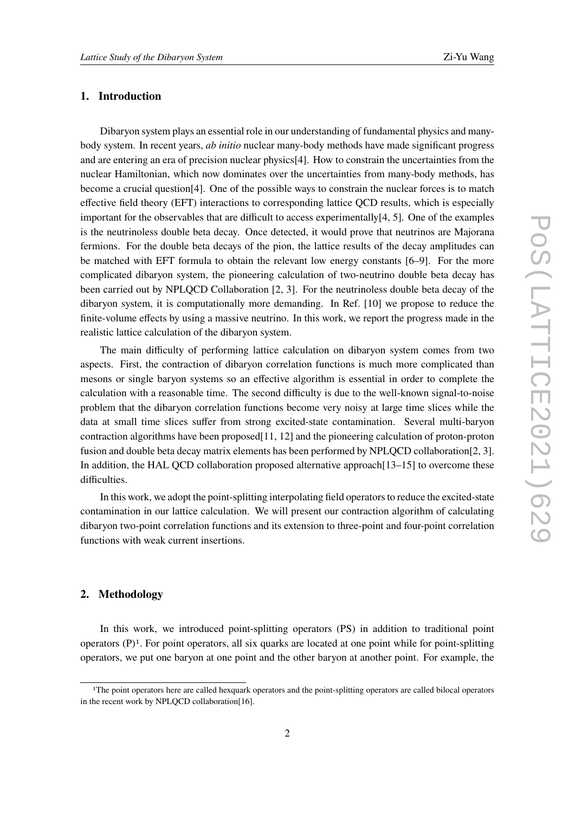# **1. Introduction**

Dibaryon system plays an essential role in our understanding of fundamental physics and manybody system. In recent years, *ab initio* nuclear many-body methods have made significant progress and are entering an era of precision nuclear physics[[4](#page-7-3)]. How to constrain the uncertainties from the nuclear Hamiltonian, which now dominates over the uncertainties from many-body methods, has become a crucial question[[4](#page-7-3)]. One of the possible ways to constrain the nuclear forces is to match effective field theory (EFT) interactions to corresponding lattice QCD results, which is especially important for the observables that are difficult to access experimentally[[4](#page-7-3), [5](#page-7-4)]. One of the examples is the neutrinoless double beta decay. Once detected, it would prove that neutrinos are Majorana fermions. For the double beta decays of the pion, the lattice results of the decay amplitudes can be matched with EFT formula to obtain the relevant low energy constants [\[6](#page-7-5)[–9\]](#page-8-0). For the more complicated dibaryon system, the pioneering calculation of two-neutrino double beta decay has been carried out by NPLQCD Collaboration [\[2,](#page-7-1) [3\]](#page-7-2). For the neutrinoless double beta decay of the dibaryon system, it is computationally more demanding. In Ref. [[10\]](#page-8-1) we propose to reduce the finite-volume effects by using a massive neutrino. In this work, we report the progress made in the realistic lattice calculation of the dibaryon system.

The main difficulty of performing lattice calculation on dibaryon system comes from two aspects. First, the contraction of dibaryon correlation functions is much more complicated than mesons or single baryon systems so an effective algorithm is essential in order to complete the calculation with a reasonable time. The second difficulty is due to the well-known signal-to-noise problem that the dibaryon correlation functions become very noisy at large time slices while the data at small time slices suffer from strong excited-state contamination. Several multi-baryon contraction algorithms have been proposed[\[11](#page-8-2), [12](#page-8-3)] and the pioneering calculation of proton-proton fusion and double beta decay matrix elements has been performed by NPLQCD collaboration[[2](#page-7-1), [3\]](#page-7-2). In addition, the HAL QCD collaboration proposed alternative approach [\[13](#page-8-4)–[15\]](#page-8-5) to overcome these difficulties.

In this work, we adopt the point-splitting interpolating field operators to reduce the excited-state contamination in our lattice calculation. We will present our contraction algorithm of calculating dibaryon two-point correlation functions and its extension to three-point and four-point correlation functions with weak current insertions.

# **2. Methodology**

In this work, we introduced point-splitting operators (PS) in addition to traditional point operators  $(P)^1$  $(P)^1$ . For point operators, all six quarks are located at one point while for point-splitting operators, we put one baryon at one point and the other baryon at another point. For example, the

<span id="page-1-0"></span><sup>1</sup>The point operators here are called hexquark operators and the point-splitting operators are called bilocal operators in the recent work by NPLQCD collaboration[[16\]](#page-8-6).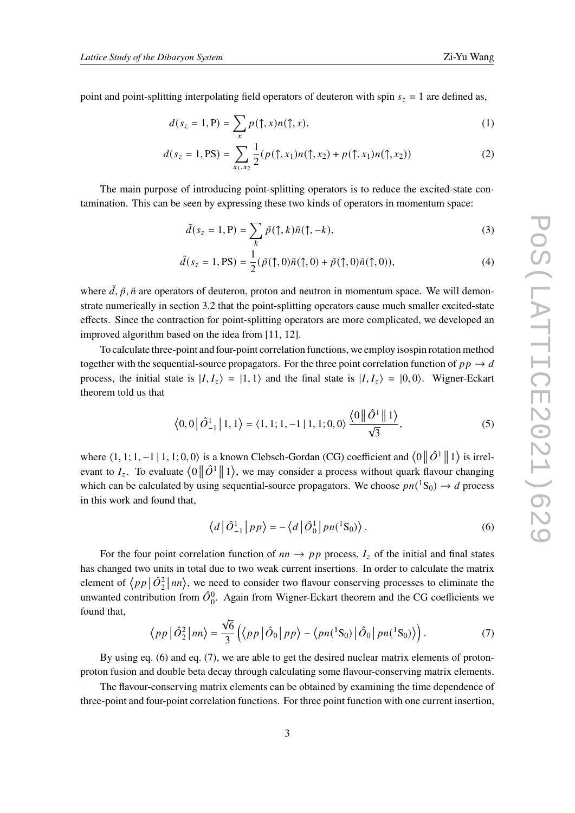point and point-splitting interpolating field operators of deuteron with spin  $s_z = 1$  are defined as,

$$
d(s_z = 1, P) = \sum_x p(\uparrow, x) n(\uparrow, x), \tag{1}
$$

$$
d(s_z = 1, \text{PS}) = \sum_{x_1, x_2} \frac{1}{2} (p(\uparrow, x_1) n(\uparrow, x_2) + p(\uparrow, x_1) n(\uparrow, x_2)) \tag{2}
$$

The main purpose of introducing point-splitting operators is to reduce the excited-state contamination. This can be seen by expressing these two kinds of operators in momentum space:

$$
\tilde{d}(s_z = 1, P) = \sum_k \tilde{p}(\uparrow, k)\tilde{n}(\uparrow, -k),\tag{3}
$$

$$
\tilde{d}(s_z = 1, \text{PS}) = \frac{1}{2} (\tilde{p}(\uparrow, 0)\tilde{n}(\uparrow, 0) + \tilde{p}(\uparrow, 0)\tilde{n}(\uparrow, 0)),\tag{4}
$$

where  $\tilde{d}$ ,  $\tilde{p}$ ,  $\tilde{n}$  are operators of deuteron, proton and neutron in momentum space. We will demonstrate numerically in section [3.2](#page-4-0) that the point-splitting operators cause much smaller excited-state effects. Since the contraction for point-splitting operators are more complicated, we developed an improved algorithm based on the idea from [\[11](#page-8-2), [12](#page-8-3)].

To calculate three-point and four-point correlation functions, we employ isospin rotation method together with the sequential-source propagators. For the three point correlation function of  $p p \rightarrow d$ process, the initial state is  $|I, I_z\rangle = |1, 1\rangle$  and the final state is  $|I, I_z\rangle = |0, 0\rangle$ . Wigner-Eckart theorem told us that

$$
\langle 0,0|\hat{O}_{-1}^1|1,1\rangle = \langle 1,1;1,-1|1,1;0,0\rangle \frac{\langle 0||\hat{O}^1||1\rangle}{\sqrt{3}},\tag{5}
$$

where  $\langle 1, 1; 1, -1 | 1, 1; 0, 0 \rangle$  is a known Clebsch-Gordan (CG) coefficient and  $\langle 0 | 0 \rangle | 1 \rangle$  is irrelevant to  $I_z$ . To evaluate  $\langle 0 \, \| \, \hat{O}^1 \, \| 1 \rangle$ , we may consider a process without quark flavour changing which can be calculated by using sequential-source propagators. We choose  $pn(^1S_0) \rightarrow d$  process in this work and found that,

<span id="page-2-0"></span>
$$
\langle d | \hat{O}_{-1}^1 | pp \rangle = - \langle d | \hat{O}_0^1 | pn(^1S_0) \rangle. \tag{6}
$$

For the four point correlation function of  $nn \rightarrow pp$  process,  $I_z$  of the initial and final states has changed two units in total due to two weak current insertions. In order to calculate the matrix element of  $\langle pp | \hat{O}_2^2 | nn \rangle$ , we need to consider two flavour conserving processes to eliminate the unwanted contribution from  $\hat{O}_0^0$ . Again from Wigner-Eckart theorem and the CG coefficients we found that,

<span id="page-2-1"></span>
$$
\langle pp \, \big| \, \hat{O}_2^2 \, \big| \, nn \rangle = \frac{\sqrt{6}}{3} \left( \langle pp \, \big| \, \hat{O}_0 \, \big| \, pp \rangle - \langle pn(^1S_0) \, \big| \, \hat{O}_0 \, \big| \, pn(^1S_0) \rangle \right). \tag{7}
$$

By using eq. [\(6\)](#page-2-0) and eq. [\(7\)](#page-2-1), we are able to get the desired nuclear matrix elements of protonproton fusion and double beta decay through calculating some flavour-conserving matrix elements.

The flavour-conserving matrix elements can be obtained by examining the time dependence of three-point and four-point correlation functions. For three point function with one current insertion,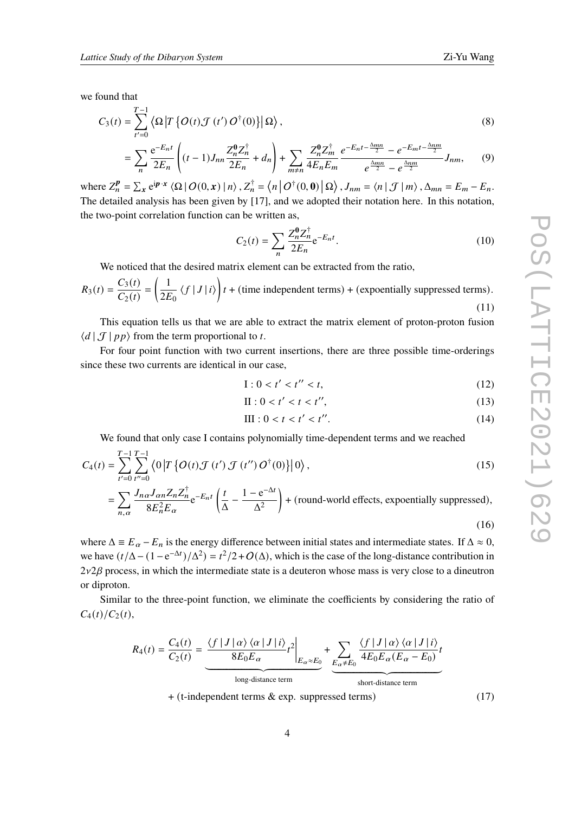we found that

$$
C_3(t) = \sum_{t'=0}^{T-1} \left\langle \Omega \left| T \left\{ O(t) \mathcal{J}(t') O^{\dagger}(0) \right\} \right| \Omega \right\rangle, \tag{8}
$$

$$
= \sum_{n} \frac{e^{-E_{n}t}}{2E_{n}} \left( (t-1)J_{nn} \frac{Z_{n}^{0} Z_{n}^{\dagger}}{2E_{n}} + d_{n} \right) + \sum_{m \neq n} \frac{Z_{n}^{0} Z_{m}^{\dagger}}{4E_{n} E_{m}} \frac{e^{-E_{n}t - \frac{\Delta mn}{2}} - e^{-E_{m}t - \frac{\Delta nm}{2}}}{e^{\frac{\Delta mn}{2}} - e^{\frac{\Delta nm}{2}}} J_{nm}, \qquad (9)
$$

where  $Z_n^{\mathbf{p}} = \sum_{\mathbf{x}} e^{i \mathbf{p} \cdot \mathbf{x}} \langle \Omega | O(0, \mathbf{x}) | n \rangle$ ,  $Z_n^{\dagger} = \langle n | O^{\dagger}(0, \mathbf{0}) | \Omega \rangle$ ,  $J_{nm} = \langle n | J | m \rangle$ ,  $\Delta_{mn} = E_m - E_n$ . The detailed analysis has been given by [\[17](#page-8-7)], and we adopted their notation here. In this notation, the two-point correlation function can be written as,

$$
C_2(t) = \sum_{n} \frac{Z_n^0 Z_n^{\dagger}}{2E_n} e^{-E_n t}.
$$
 (10)

We noticed that the desired matrix element can be extracted from the ratio,

$$
R_3(t) = \frac{C_3(t)}{C_2(t)} = \left(\frac{1}{2E_0} \langle f | J | i \rangle\right) t + \text{(time independent terms)} + \text{(exponentially suppressed terms)}.
$$
\n(11)

This equation tells us that we are able to extract the matrix element of proton-proton fusion  $\langle d | \mathcal{J} | p p \rangle$  from the term proportional to t.

For four point function with two current insertions, there are three possible time-orderings since these two currents are identical in our case,

$$
I: 0 < t' < t'' < t,\tag{12}
$$

$$
\Pi: 0 < t' < t < t'',\tag{13}
$$

III: 
$$
0 < t < t' < t''
$$
. (14)

We found that only case I contains polynomially time-dependent terms and we reached

$$
C_4(t) = \sum_{t'=0}^{T-1} \sum_{t''=0}^{T-1} \langle 0|T \{O(t) \mathcal{J}(t') \mathcal{J}(t'') O^{\dagger}(0)\} | 0 \rangle, \tag{15}
$$
  
= 
$$
\sum_{n,\alpha} \frac{J_{n\alpha} J_{\alpha n} Z_n Z_n^{\dagger}}{8E_n^2 E_\alpha} e^{-E_n t} \left(\frac{t}{\Delta} - \frac{1 - e^{-\Delta t}}{\Delta^2}\right) + \text{(round-world effects, exponentially suppressed)},
$$

(16)

where  $\Delta \equiv E_{\alpha} - E_n$  is the energy difference between initial states and intermediate states. If  $\Delta \approx 0$ , we have  $(t/\Delta - (1 - e^{-\Delta t})/\Delta^2) = t^2/2 + O(\Delta)$ , which is the case of the long-distance contribution in  $2\nu2\beta$  process, in which the intermediate state is a deuteron whose mass is very close to a dineutron or diproton.

Similar to the three-point function, we eliminate the coefficients by considering the ratio of  $C_4(t)/C_2(t),$ 

$$
R_4(t) = \frac{C_4(t)}{C_2(t)} = \underbrace{\frac{\langle f | J | \alpha \rangle \langle \alpha | J | i \rangle}{8E_0 E_{\alpha}} t^2}_{\text{long-distance term}} + \underbrace{\sum_{E_{\alpha} \neq E_0} \frac{\langle f | J | \alpha \rangle \langle \alpha | J | i \rangle}{4E_0 E_{\alpha} (E_{\alpha} - E_0)} t}_{\text{short-distance term}}
$$

+ (t-independent terms & exp. suppressed terms) (17)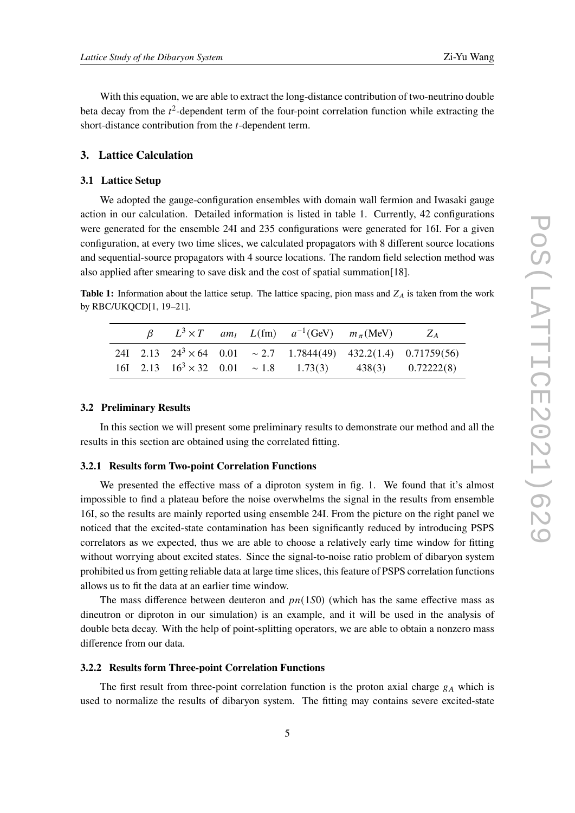With this equation, we are able to extract the long-distance contribution of two-neutrino double beta decay from the  $t^2$ -dependent term of the four-point correlation function while extracting the short-distance contribution from the  $t$ -dependent term.

# **3. Lattice Calculation**

#### **3.1 Lattice Setup**

We adopted the gauge-configuration ensembles with domain wall fermion and Iwasaki gauge action in our calculation. Detailed information is listed in table [1.](#page-4-1) Currently, 42 configurations were generated for the ensemble 24I and 235 configurations were generated for 16I. For a given configuration, at every two time slices, we calculated propagators with 8 different source locations and sequential-source propagators with 4 source locations. The random field selection method was also applied after smearing to save disk and the cost of spatial summation[\[18](#page-8-8)].

<span id="page-4-1"></span>**Table 1:** Information about the lattice setup. The lattice spacing, pion mass and  $Z_A$  is taken from the work by RBC/UKQCD[[1,](#page-7-0) [19–](#page-8-9)[21\]](#page-8-10).

|  |  | $\beta$ $L^3 \times T$ am <sub>l</sub> $L(fm)$ $a^{-1}(GeV)$ $m_\pi (MeV)$ $Z_A$ |                                                                             |
|--|--|----------------------------------------------------------------------------------|-----------------------------------------------------------------------------|
|  |  |                                                                                  | 24I 2.13 $24^3 \times 64$ 0.01 $\sim 2.7$ 1.7844(49) 432.2(1.4) 0.71759(56) |
|  |  |                                                                                  | 16I 2.13 $16^3 \times 32$ 0.01 ~ 1.8 1.73(3) 438(3) 0.72222(8)              |

## <span id="page-4-0"></span>**3.2 Preliminary Results**

In this section we will present some preliminary results to demonstrate our method and all the results in this section are obtained using the correlated fitting.

#### **3.2.1 Results form Two-point Correlation Functions**

We presented the effective mass of a diproton system in fig. [1.](#page-5-0) We found that it's almost impossible to find a plateau before the noise overwhelms the signal in the results from ensemble 16I, so the results are mainly reported using ensemble 24I. From the picture on the right panel we noticed that the excited-state contamination has been significantly reduced by introducing PSPS correlators as we expected, thus we are able to choose a relatively early time window for fitting without worrying about excited states. Since the signal-to-noise ratio problem of dibaryon system prohibited us from getting reliable data at large time slices, this feature of PSPS correlation functions allows us to fit the data at an earlier time window.

The mass difference between deuteron and  $pn(1S0)$  (which has the same effective mass as dineutron or diproton in our simulation) is an example, and it will be used in the analysis of double beta decay. With the help of point-splitting operators, we are able to obtain a nonzero mass difference from our data.

#### **3.2.2 Results form Three-point Correlation Functions**

The first result from three-point correlation function is the proton axial charge  $g_A$  which is used to normalize the results of dibaryon system. The fitting may contains severe excited-state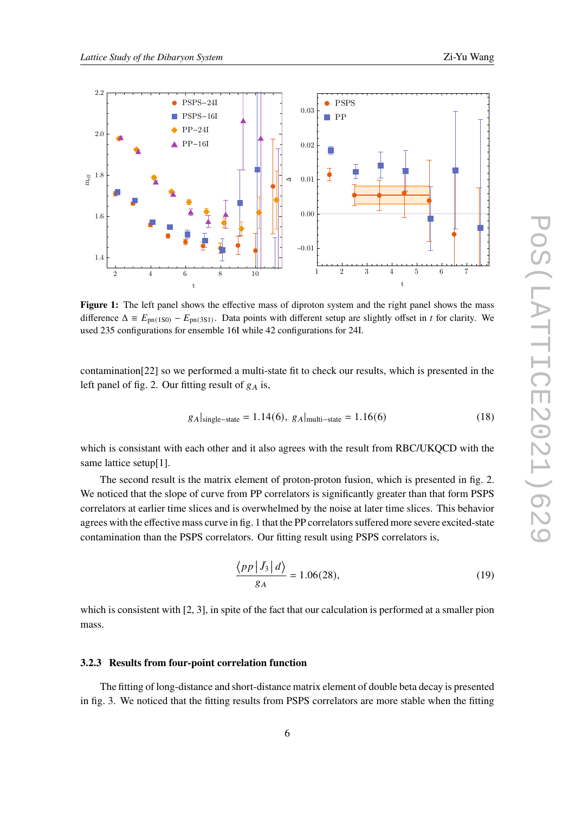<span id="page-5-0"></span>

**Figure 1:** The left panel shows the effective mass of diproton system and the right panel shows the mass difference  $\Delta \equiv E_{\text{pn}(1S0)} - E_{\text{pn}(3S1)}$ . Data points with different setup are slightly offset in *t* for clarity. We used 235 configurations for ensemble 16I while 42 configurations for 24I.

contamination[\[22](#page-8-11)] so we performed a multi-state fit to check our results, which is presented in the left panel of fig. [2](#page-6-0). Our fitting result of  $g_A$  is,

$$
g_A|_{\text{single-state}} = 1.14(6), g_A|_{\text{multi-state}} = 1.16(6)
$$
 (18)

which is consistant with each other and it also agrees with the result from RBC/UKQCD with the same lattice setup[[1\]](#page-7-0).

The second result is the matrix element of proton-proton fusion, which is presented in fig. [2](#page-6-0). We noticed that the slope of curve from PP correlators is significantly greater than that form PSPS correlators at earlier time slices and is overwhelmed by the noise at later time slices. This behavior agrees with the effective mass curve in fig. [1](#page-5-0) that the PP correlators suffered more severe excited-state contamination than the PSPS correlators. Our fitting result using PSPS correlators is,

$$
\frac{\langle pp \, | \tilde{J}_3 \, | \, d \rangle}{g_A} = 1.06(28),\tag{19}
$$

which is consistent with [\[2,](#page-7-1) [3](#page-7-2)], in spite of the fact that our calculation is performed at a smaller pion mass.

#### **3.2.3 Results from four-point correlation function**

The fitting of long-distance and short-distance matrix element of double beta decay is presented in fig. [3](#page-7-6). We noticed that the fitting results from PSPS correlators are more stable when the fitting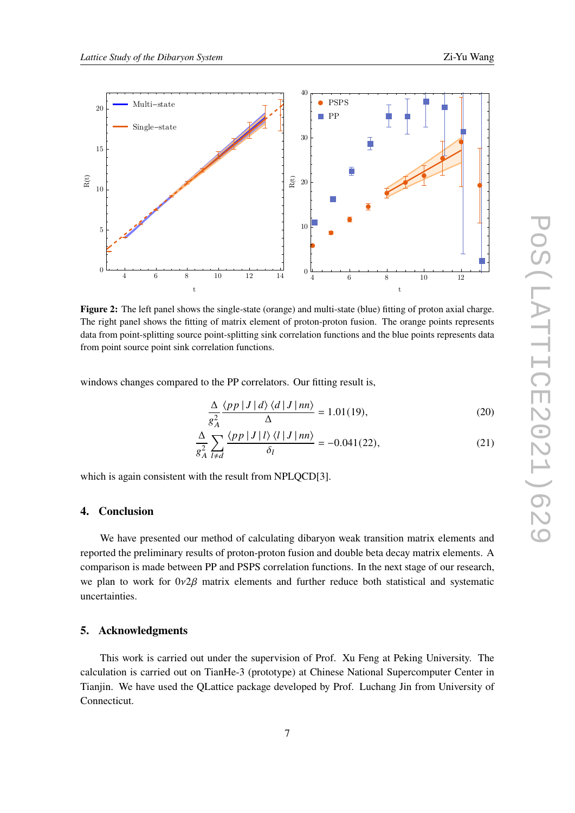<span id="page-6-0"></span>

**Figure 2:** The left panel shows the single-state (orange) and multi-state (blue) fitting of proton axial charge. The right panel shows the fitting of matrix element of proton-proton fusion. The orange points represents data from point-splitting source point-splitting sink correlation functions and the blue points represents data from point source point sink correlation functions.

windows changes compared to the PP correlators. Our fitting result is,

$$
\frac{\Delta}{g_A^2} \frac{\langle pp \, | \, J \, | \, d \rangle \langle d \, | \, J \, | \, nn \rangle}{\Delta} = 1.01(19),\tag{20}
$$

$$
\frac{\Delta}{g_A^2} \sum_{l \neq d} \frac{\langle pp \, | \, J \, | \, l \rangle \, \langle l \, | \, J \, | \, nn \rangle}{\delta_l} = -0.041(22),\tag{21}
$$

which is again consistent with the result from NPLQCD[\[3\]](#page-7-2).

# **4. Conclusion**

We have presented our method of calculating dibaryon weak transition matrix elements and reported the preliminary results of proton-proton fusion and double beta decay matrix elements. A comparison is made between PP and PSPS correlation functions. In the next stage of our research, we plan to work for  $0\nu2\beta$  matrix elements and further reduce both statistical and systematic uncertainties.

# **5. Acknowledgments**

This work is carried out under the supervision of Prof. Xu Feng at Peking University. The calculation is carried out on TianHe-3 (prototype) at Chinese National Supercomputer Center in Tianjin. We have used the QLattice package developed by Prof. Luchang Jin from University of Connecticut.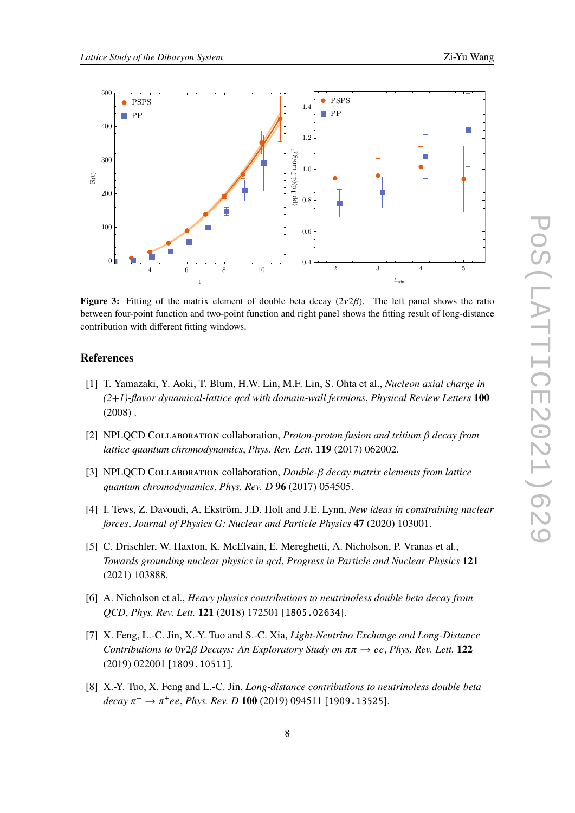<span id="page-7-6"></span>

**Figure 3:** Fitting of the matrix element of double beta decay  $(2\nu2\beta)$ . The left panel shows the ratio between four-point function and two-point function and right panel shows the fitting result of long-distance contribution with different fitting windows.

# **References**

- <span id="page-7-0"></span>[1] T. Yamazaki, Y. Aoki, T. Blum, H.W. Lin, M.F. Lin, S. Ohta et al., *Nucleon axial charge in (2+1)-flavor dynamical-lattice qcd with domain-wall fermions*, *[Physical Review Letters](https://doi.org/10.1103/physrevlett.100.171602)* **100**  $(2008)$ .
- <span id="page-7-1"></span>[2] NPLQCD Collaboration collaboration, *Proton-proton fusion and tritium decay from lattice quantum chromodynamics*, *[Phys. Rev. Lett.](https://doi.org/10.1103/PhysRevLett.119.062002)* **119** (2017) 062002.
- <span id="page-7-2"></span>[3] NPLQCD COLLABORATION collaboration, *Double-* $\beta$  *decay matrix elements from lattice quantum chromodynamics*, *Phys. Rev. D* **96** [\(2017\) 054505](https://doi.org/10.1103/PhysRevD.96.054505).
- <span id="page-7-3"></span>[4] I. Tews, Z. Davoudi, A. Ekström, J.D. Holt and J.E. Lynn, *New ideas in constraining nuclear forces*, *[Journal of Physics G: Nuclear and Particle Physics](https://doi.org/10.1088/1361-6471/ab9079)* **47** (2020) 103001.
- <span id="page-7-4"></span>[5] C. Drischler, W. Haxton, K. McElvain, E. Mereghetti, A. Nicholson, P. Vranas et al., *Towards grounding nuclear physics in qcd*, *[Progress in Particle and Nuclear Physics](https://doi.org/10.1016/j.ppnp.2021.103888)* **121** [\(2021\) 103888.](https://doi.org/10.1016/j.ppnp.2021.103888)
- <span id="page-7-5"></span>[6] A. Nicholson et al., *Heavy physics contributions to neutrinoless double beta decay from QCD*, *[Phys. Rev. Lett.](https://doi.org/10.1103/PhysRevLett.121.172501)* **121** (2018) 172501 [[1805.02634](https://arxiv.org/abs/1805.02634)].
- [7] X. Feng, L.-C. Jin, X.-Y. Tuo and S.-C. Xia, *Light-Neutrino Exchange and Long-Distance Contributions to*  $0\nu2\beta$  *Decays: An Exploratory Study on*  $\pi\pi \rightarrow ee$ , *[Phys. Rev. Lett.](https://doi.org/10.1103/PhysRevLett.122.022001)* **122** [\(2019\) 022001](https://doi.org/10.1103/PhysRevLett.122.022001) [[1809.10511](https://arxiv.org/abs/1809.10511)].
- [8] X.-Y. Tuo, X. Feng and L.-C. Jin, *Long-distance contributions to neutrinoless double beta*  $decay \pi^- \rightarrow \pi^+ee$ , *Phys. Rev. D* **100** [\(2019\) 094511](https://doi.org/10.1103/PhysRevD.100.094511) [[1909.13525](https://arxiv.org/abs/1909.13525)].